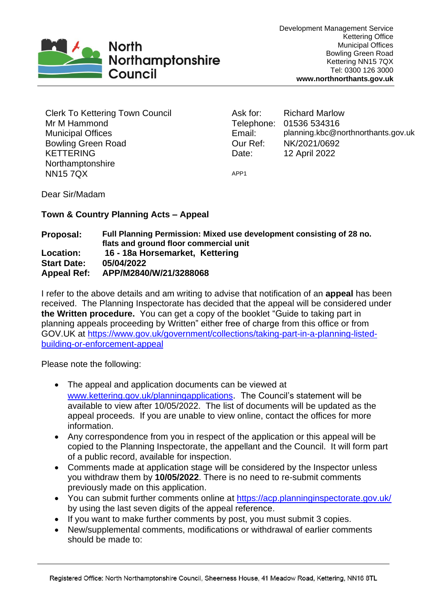

Clerk To Kettering Town Council Mr M Hammond Municipal Offices Bowling Green Road KETTERING Northamptonshire NN15 7QX

Ask for: Richard Marlow Telephone: 01536 534316 Email: planning.kbc@northnorthants.gov.uk Our Ref: NK/2021/0692 Date: 12 April 2022

APP1

Dear Sir/Madam

## **Town & Country Planning Acts – Appeal**

## **Proposal: Full Planning Permission: Mixed use development consisting of 28 no. flats and ground floor commercial unit Location: 16 - 18a Horsemarket, Kettering Start Date: 05/04/2022 Appeal Ref: APP/M2840/W/21/3288068**

I refer to the above details and am writing to advise that notification of an **appeal** has been received. The Planning Inspectorate has decided that the appeal will be considered under **the Written procedure.** You can get a copy of the booklet "Guide to taking part in planning appeals proceeding by Written" either free of charge from this office or from GOV.UK at [https://www.gov.uk/government/collections/taking-part-in-a-planning-listed](https://www.gov.uk/government/collections/taking-part-in-a-planning-listed-building-or-enforcement-appeal)[building-or-enforcement-appeal](https://www.gov.uk/government/collections/taking-part-in-a-planning-listed-building-or-enforcement-appeal)

Please note the following:

- The appeal and application documents can be viewed at [www.kettering.gov.uk/planningapplications](http://www.kettering.gov.uk/planningapplications). The Council's statement will be available to view after 10/05/2022. The list of documents will be updated as the appeal proceeds. If you are unable to view online, contact the offices for more information.
- Any correspondence from you in respect of the application or this appeal will be copied to the Planning Inspectorate, the appellant and the Council. It will form part of a public record, available for inspection.
- Comments made at application stage will be considered by the Inspector unless you withdraw them by **10/05/2022**. There is no need to re-submit comments previously made on this application.
- You can submit further comments online at<https://acp.planninginspectorate.gov.uk/> by using the last seven digits of the appeal reference.
- If you want to make further comments by post, you must submit 3 copies.
- New/supplemental comments, modifications or withdrawal of earlier comments should be made to: